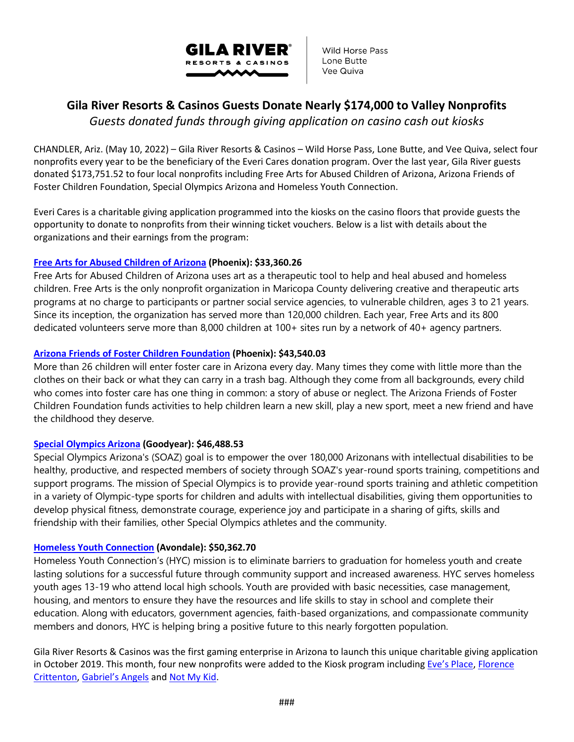

Wild Horse Pass Lone Butte Vee Quiva

# **Gila River Resorts & Casinos Guests Donate Nearly \$174,000 to Valley Nonprofits**

*Guests donated funds through giving application on casino cash out kiosks* 

CHANDLER, Ariz. (May 10, 2022) – Gila River Resorts & Casinos – Wild Horse Pass, Lone Butte, and Vee Quiva, select four nonprofits every year to be the beneficiary of the Everi Cares donation program. Over the last year, Gila River guests donated \$173,751.52 to four local nonprofits including Free Arts for Abused Children of Arizona, Arizona Friends of Foster Children Foundation, Special Olympics Arizona and Homeless Youth Connection.

Everi Cares is a charitable giving application programmed into the kiosks on the casino floors that provide guests the opportunity to donate to nonprofits from their winning ticket vouchers. Below is a list with details about the organizations and their earnings from the program:

## **[Free Arts for Abused Children of Arizona](https://freeartsaz.org/) (Phoenix): \$33,360.26**

Free Arts for Abused Children of Arizona uses art as a therapeutic tool to help and heal abused and homeless children. Free Arts is the only nonprofit organization in Maricopa County delivering creative and therapeutic arts programs at no charge to participants or partner social service agencies, to vulnerable children, ages 3 to 21 years. Since its inception, the organization has served more than 120,000 children. Each year, Free Arts and its 800 dedicated volunteers serve more than 8,000 children at 100+ sites run by a network of 40+ agency partners.

### **[Arizona Friends of Foster Children Foundation](https://www.affcf.org/) (Phoenix): \$43,540.03**

More than 26 children will enter foster care in Arizona every day. Many times they come with little more than the clothes on their back or what they can carry in a trash bag. Although they come from all backgrounds, every child who comes into foster care has one thing in common: a story of abuse or neglect. The Arizona Friends of Foster Children Foundation funds activities to help children learn a new skill, play a new sport, meet a new friend and have the childhood they deserve.

#### **[Special Olympics Arizona](https://specialolympicsarizona.org/) (Goodyear): \$46,488.53**

Special Olympics Arizona's (SOAZ) goal is to empower the over 180,000 Arizonans with intellectual disabilities to be healthy, productive, and respected members of society through SOAZ's year-round sports training, competitions and support programs. The mission of Special Olympics is to provide year-round sports training and athletic competition in a variety of Olympic-type sports for children and adults with intellectual disabilities, giving them opportunities to develop physical fitness, demonstrate courage, experience joy and participate in a sharing of gifts, skills and friendship with their families, other Special Olympics athletes and the community.

#### **[Homeless Youth Connection](https://hycaz.org/) (Avondale): \$50,362.70**

Homeless Youth Connection's (HYC) mission is to eliminate barriers to graduation for homeless youth and create lasting solutions for a successful future through community support and increased awareness. HYC serves homeless youth ages 13-19 who attend local high schools. Youth are provided with basic necessities, case management, housing, and mentors to ensure they have the resources and life skills to stay in school and complete their education. Along with educators, government agencies, faith-based organizations, and compassionate community members and donors, HYC is helping bring a positive future to this nearly forgotten population.

Gila River Resorts & Casinos was the first gaming enterprise in Arizona to launch this unique charitable giving application in October 2019. This month, four new nonprofits were added to the Kiosk program including [Eve's Place,](https://www.evesplace.org/) Florence [Crittenton,](https://www.flocrit.org/) [Gabriel's Angels](http://www.gabrielsangels.org/) an[d Not My Kid.](http://www.notmykid.org/)